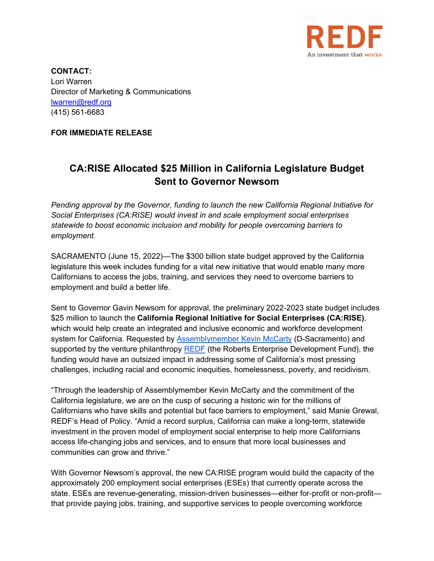

**CONTACT:** Lori Warren Director of Marketing & Communications [lwarren@redf.org](mailto:lwarren@redf.org) (415) 561-6683

**FOR IMMEDIATE RELEASE**

## **CA:RISE Allocated \$25 Million in California Legislature Budget Sent to Governor Newsom**

*Pending approval by the Governor, funding to launch the new California Regional Initiative for Social Enterprises (CA:RISE) would invest in and scale employment social enterprises statewide to boost economic inclusion and mobility for people overcoming barriers to employment.* 

SACRAMENTO (June 15, 2022)—The \$300 billion state budget approved by the California legislature this week includes funding for a vital new initiative that would enable many more Californians to access the jobs, training, and services they need to overcome barriers to employment and build a better life.

Sent to Governor Gavin Newsom for approval, the preliminary 2022-2023 state budget includes \$25 million to launch the **California Regional Initiative for Social Enterprises (CA:RISE)**, which would help create an integrated and inclusive economic and workforce development system for California. Requested by [Assemblymember Kevin McCarty](https://a07.asmdc.org/) (D-Sacramento) and supported by the venture philanthropy [REDF](https://redf.org/) (the Roberts Enterprise Development Fund), the funding would have an outsized impact in addressing some of California's most pressing challenges, including racial and economic inequities, homelessness, poverty, and recidivism.

"Through the leadership of Assemblymember Kevin McCarty and the commitment of the California legislature, we are on the cusp of securing a historic win for the millions of Californians who have skills and potential but face barriers to employment," said Manie Grewal, REDF's Head of Policy. "Amid a record surplus, California can make a long-term, statewide investment in the proven model of employment social enterprise to help more Californians access life-changing jobs and services, and to ensure that more local businesses and communities can grow and thrive."

With Governor Newsom's approval, the new CA:RISE program would build the capacity of the approximately 200 employment social enterprises (ESEs) that currently operate across the state. ESEs are revenue-generating, mission-driven businesses—either for-profit or non-profit that provide paying jobs, training, and supportive services to people overcoming workforce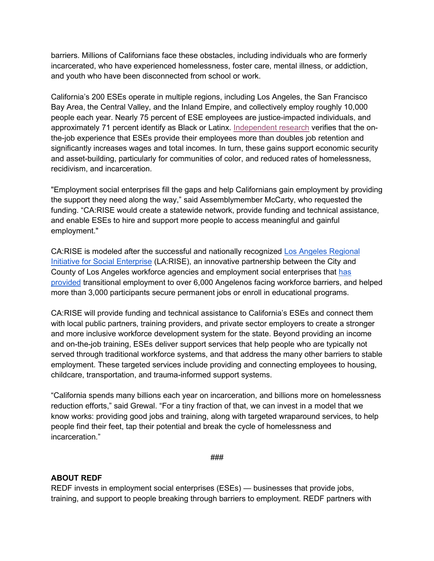barriers. Millions of Californians face these obstacles, including individuals who are formerly incarcerated, who have experienced homelessness, foster care, mental illness, or addiction, and youth who have been disconnected from school or work.

California's 200 ESEs operate in multiple regions, including Los Angeles, the San Francisco Bay Area, the Central Valley, and the Inland Empire, and collectively employ roughly 10,000 people each year. Nearly 75 percent of ESE employees are justice-impacted individuals, and approximately 71 percent identify as Black or Latinx. [Independent research](https://redf.org/wp-content/uploads/REDF-MJS-Final-Report-Brief.pdf) verifies that the onthe-job experience that ESEs provide their employees more than doubles job retention and significantly increases wages and total incomes. In turn, these gains support economic security and asset-building, particularly for communities of color, and reduced rates of homelessness, recidivism, and incarceration.

"Employment social enterprises fill the gaps and help Californians gain employment by providing the support they need along the way," said Assemblymember McCarty, who requested the funding. "CA:RISE would create a statewide network, provide funding and technical assistance, and enable ESEs to hire and support more people to access meaningful and gainful employment."

CA:RISE is modeled after the successful and nationally recognized [Los Angeles Regional](https://ewddlacity.com/index.php/employment-services/larise)  [Initiative for Social Enterprise](https://ewddlacity.com/index.php/employment-services/larise) (LA:RISE), an innovative partnership between the City and County of Los Angeles workforce agencies and employment social enterprises that [has](https://redf.org/what-we-do/larise/)  [provided](https://redf.org/what-we-do/larise/) transitional employment to over 6,000 Angelenos facing workforce barriers, and helped more than 3,000 participants secure permanent jobs or enroll in educational programs.

CA:RISE will provide funding and technical assistance to California's ESEs and connect them with local public partners, training providers, and private sector employers to create a stronger and more inclusive workforce development system for the state. Beyond providing an income and on-the-job training, ESEs deliver support services that help people who are typically not served through traditional workforce systems, and that address the many other barriers to stable employment. These targeted services include providing and connecting employees to housing, childcare, transportation, and trauma-informed support systems.

"California spends many billions each year on incarceration, and billions more on homelessness reduction efforts," said Grewal. "For a tiny fraction of that, we can invest in a model that we know works: providing good jobs and training, along with targeted wraparound services, to help people find their feet, tap their potential and break the cycle of homelessness and incarceration."

*###*

## **ABOUT REDF**

REDF invests in employment social enterprises (ESEs) — businesses that provide jobs, training, and support to people breaking through barriers to employment. REDF partners with